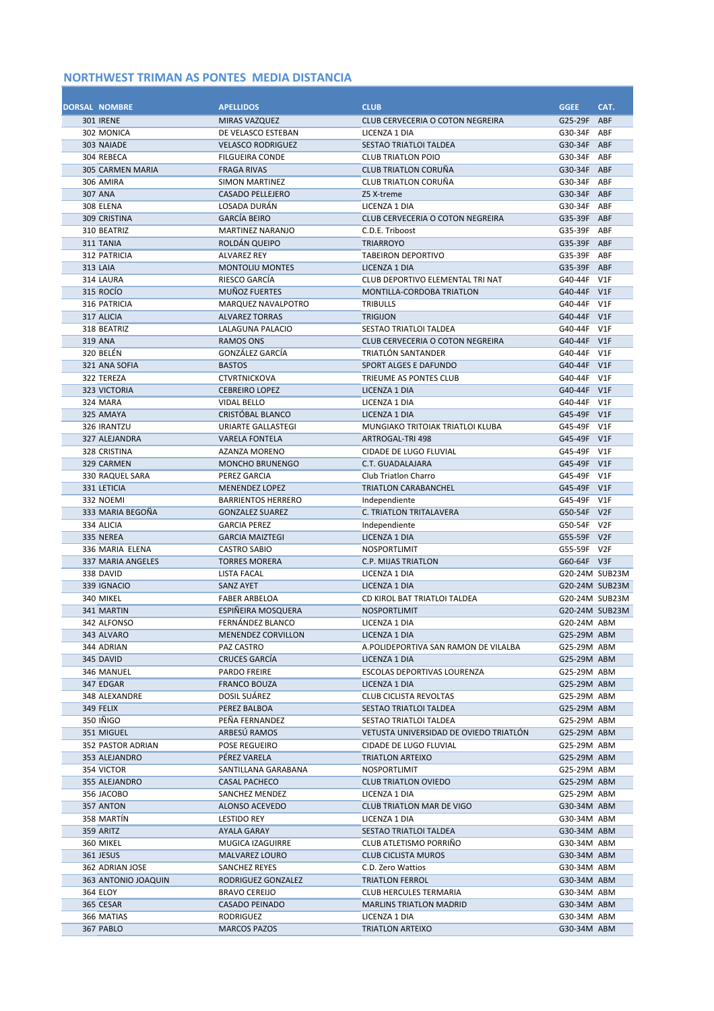| <b>DORSAL NOMBRE</b>           | <b>APELLIDOS</b>                           | <b>CLUB</b>                                                   | <b>GGEE</b>                   | CAT.<br>ABF      |
|--------------------------------|--------------------------------------------|---------------------------------------------------------------|-------------------------------|------------------|
| <b>301 IRENE</b><br>302 MONICA | <b>MIRAS VAZQUEZ</b><br>DE VELASCO ESTEBAN | CLUB CERVECERIA O COTON NEGREIRA<br>LICENZA 1 DIA             | G25-29F<br>G30-34F            | ABF              |
| 303 NAIADE                     | <b>VELASCO RODRIGUEZ</b>                   | SESTAO TRIATLOI TALDEA                                        | G30-34F                       | ABF              |
| 304 REBECA                     | <b>FILGUEIRA CONDE</b>                     | <b>CLUB TRIATLON POIO</b>                                     | G30-34F                       | ABF              |
| <b>305 CARMEN MARIA</b>        | <b>FRAGA RIVAS</b>                         | <b>CLUB TRIATLON CORUÑA</b>                                   | G30-34F ABF                   |                  |
| 306 AMIRA                      | <b>SIMON MARTINEZ</b>                      | CLUB TRIATLON CORUÑA                                          | G30-34F                       | ABF              |
| <b>307 ANA</b>                 | <b>CASADO PELLEJERO</b>                    | Z5 X-treme                                                    | G30-34F                       | ABF              |
| 308 ELENA                      | LOSADA DURÁN                               | LICENZA 1 DIA                                                 | G30-34F                       | ABF              |
| 309 CRISTINA                   | <b>GARCÍA BEIRO</b>                        | CLUB CERVECERIA O COTON NEGREIRA                              | G35-39F ABF                   |                  |
| 310 BEATRIZ                    | <b>MARTINEZ NARANJO</b>                    | C.D.E. Triboost                                               | G35-39F                       | ABF              |
| 311 TANIA                      | ROLDÁN QUEIPO                              | <b>TRIARROYO</b>                                              | G35-39F                       | ABF              |
| 312 PATRICIA                   | <b>ALVAREZ REY</b>                         | <b>TABEIRON DEPORTIVO</b>                                     | G35-39F                       | ABF              |
| <b>313 LAIA</b>                | <b>MONTOLIU MONTES</b>                     | <b>LICENZA 1 DIA</b>                                          | G35-39F                       | ABF              |
| 314 LAURA<br>315 ROCIO         | RIESCO GARCÍA<br><b>MUÑOZ FUERTES</b>      | CLUB DEPORTIVO ELEMENTAL TRI NAT<br>MONTILLA-CORDOBA TRIATLON | G40-44F<br>G40-44F            | V1F<br>V1F       |
| 316 PATRICIA                   | MARQUEZ NAVALPOTRO                         | <b>TRIBULLS</b>                                               | G40-44F                       | V1F              |
| 317 ALICIA                     | <b>ALVAREZ TORRAS</b>                      | <b>TRIGIJON</b>                                               | G40-44F                       | V1F              |
| 318 BEATRIZ                    | LALAGUNA PALACIO                           | <b>SESTAO TRIATLOI TALDEA</b>                                 | G40-44F                       | V1F              |
| 319 ANA                        | <b>RAMOS ONS</b>                           | CLUB CERVECERIA O COTON NEGREIRA                              | G40-44F                       | V1F              |
| 320 BELÉN                      | GONZÁLEZ GARCÍA                            | TRIATLÓN SANTANDER                                            | G40-44F                       | V1F              |
| 321 ANA SOFIA                  | <b>BASTOS</b>                              | <b>SPORT ALGES E DAFUNDO</b>                                  | G40-44F                       | V1F              |
| 322 TEREZA                     | <b>CTVRTNICKOVA</b>                        | TRIEUME AS PONTES CLUB                                        | G40-44F                       | V1F              |
| 323 VICTORIA                   | <b>CEBREIRO LOPEZ</b>                      | LICENZA 1 DIA                                                 | G40-44F                       | V1F              |
| 324 MARA                       | VIDAL BELLO                                | LICENZA 1 DIA                                                 | G40-44F                       | V1F              |
| 325 AMAYA                      | CRISTÓBAL BLANCO                           | LICENZA 1 DIA                                                 | G45-49F V1F                   |                  |
| 326 IRANTZU                    | URIARTE GALLASTEGI                         | MUNGIAKO TRITOIAK TRIATLOI KLUBA                              | G45-49F                       | V1F              |
| 327 ALEJANDRA                  | <b>VARELA FONTELA</b>                      | <b>ARTROGAL-TRI 498</b>                                       | G45-49F                       | V1F              |
| 328 CRISTINA<br>329 CARMEN     | AZANZA MORENO<br><b>MONCHO BRUNENGO</b>    | CIDADE DE LUGO FLUVIAL<br>C.T. GUADALAJARA                    | G45-49F<br>G45-49F V1F        | V1F              |
| 330 RAQUEL SARA                | PEREZ GARCIA                               | <b>Club Triatlon Charro</b>                                   | G45-49F                       | V1F              |
| 331 LETICIA                    | <b>MENENDEZ LOPEZ</b>                      | <b>TRIATLON CARABANCHEL</b>                                   | G45-49F                       | V1F              |
| 332 NOEMI                      | <b>BARRIENTOS HERRERO</b>                  | Independiente                                                 | G45-49F                       | V1F              |
| 333 MARIA BEGOÑA               | <b>GONZALEZ SUAREZ</b>                     | C. TRIATLON TRITALAVERA                                       | G50-54F                       | V2F              |
| 334 ALICIA                     | <b>GARCIA PEREZ</b>                        | Independiente                                                 | G50-54F                       | V <sub>2F</sub>  |
| 335 NEREA                      | <b>GARCIA MAIZTEGI</b>                     | LICENZA 1 DIA                                                 | G55-59F V2F                   |                  |
| 336 MARIA ELENA                | <b>CASTRO SABIO</b>                        | NOSPORTLIMIT                                                  | G55-59F                       | V <sub>2</sub> F |
| 337 MARIA ANGELES              | <b>TORRES MORERA</b>                       | <b>C.P. MIJAS TRIATLON</b>                                    | G60-64F V3F                   |                  |
| 338 DAVID                      | LISTA FACAL                                | LICENZA 1 DIA                                                 | G20-24M SUB23M                |                  |
| 339 IGNACIO                    | <b>SANZ AYET</b>                           | LICENZA 1 DIA                                                 | G20-24M SUB23M                |                  |
| 340 MIKEL                      | <b>FABER ARBELOA</b>                       | CD KIROL BAT TRIATLOI TALDEA                                  | G20-24M SUB23M                |                  |
| 341 MARTIN<br>342 ALFONSO      | ESPIÑEIRA MOSQUERA<br>FERNÁNDEZ BLANCO     | <b>NOSPORTLIMIT</b><br>LICENZA 1 DIA                          | G20-24M SUB23M<br>G20-24M ABM |                  |
| 343 ALVARO                     | MENENDEZ CORVILLON                         | LICENZA 1 DIA                                                 | G25-29M ABM                   |                  |
| 344 ADRIAN                     | PAZ CASTRO                                 | A.POLIDEPORTIVA SAN RAMON DE VILALBA                          | G25-29M ABM                   |                  |
| 345 DAVID                      | CRUCES GARCÍA                              | LICENZA 1 DIA                                                 | G25-29M ABM                   |                  |
| 346 MANUEL                     | PARDO FREIRE                               | ESCOLAS DEPORTIVAS LOURENZA                                   | G25-29M ABM                   |                  |
| 347 EDGAR                      | <b>FRANCO BOUZA</b>                        | LICENZA 1 DIA                                                 | G25-29M ABM                   |                  |
| 348 ALEXANDRE                  | DOSIL SUÁREZ                               | <b>CLUB CICLISTA REVOLTAS</b>                                 | G25-29M ABM                   |                  |
| 349 FELIX                      | PEREZ BALBOA                               | SESTAO TRIATLOI TALDEA                                        | G25-29M ABM                   |                  |
| 350 IÑIGO                      | PEÑA FERNANDEZ                             | SESTAO TRIATLOI TALDEA                                        | G25-29M ABM                   |                  |
| 351 MIGUEL                     | ARBESÚ RAMOS                               | VETUSTA UNIVERSIDAD DE OVIEDO TRIATLÓN                        | G25-29M ABM                   |                  |
| <b>352 PASTOR ADRIAN</b>       | POSE REGUEIRO                              | CIDADE DE LUGO FLUVIAL                                        | G25-29M ABM                   |                  |
| 353 ALEJANDRO                  | PÉREZ VARELA                               | TRIATLON ARTEIXO                                              | G25-29M ABM                   |                  |
| 354 VICTOR                     | SANTILLANA GARABANA                        | NOSPORTLIMIT                                                  | G25-29M ABM                   |                  |
| 355 ALEJANDRO<br>356 JACOBO    | <b>CASAL PACHECO</b><br>SANCHEZ MENDEZ     | <b>CLUB TRIATLON OVIEDO</b><br>LICENZA 1 DIA                  | G25-29M ABM<br>G25-29M ABM    |                  |
| 357 ANTON                      | ALONSO ACEVEDO                             | <b>CLUB TRIATLON MAR DE VIGO</b>                              | G30-34M ABM                   |                  |
| 358 MARTÍN                     | <b>LESTIDO REY</b>                         | LICENZA 1 DIA                                                 | G30-34M ABM                   |                  |
| 359 ARITZ                      | <b>AYALA GARAY</b>                         | SESTAO TRIATLOI TALDEA                                        | G30-34M ABM                   |                  |
| 360 MIKEL                      | MUGICA IZAGUIRRE                           | CLUB ATLETISMO PORRIÑO                                        | G30-34M ABM                   |                  |
| 361 JESUS                      | MALVAREZ LOURO                             | <b>CLUB CICLISTA MUROS</b>                                    | G30-34M ABM                   |                  |
| 362 ADRIAN JOSE                | <b>SANCHEZ REYES</b>                       | C.D. Zero Wattios                                             | G30-34M ABM                   |                  |
| 363 ANTONIO JOAQUIN            | RODRIGUEZ GONZALEZ                         | <b>TRIATLON FERROL</b>                                        | G30-34M ABM                   |                  |
| 364 ELOY                       | <b>BRAVO CEREIJO</b>                       | CLUB HERCULES TERMARIA                                        | G30-34M ABM                   |                  |
| 365 CESAR                      | <b>CASADO PEINADO</b>                      | <b>MARLINS TRIATLON MADRID</b>                                | G30-34M ABM                   |                  |
| 366 MATIAS                     | RODRIGUEZ                                  | LICENZA 1 DIA                                                 | G30-34M ABM                   |                  |
| 367 PABLO                      | <b>MARCOS PAZOS</b>                        | TRIATLON ARTEIXO                                              | G30-34M ABM                   |                  |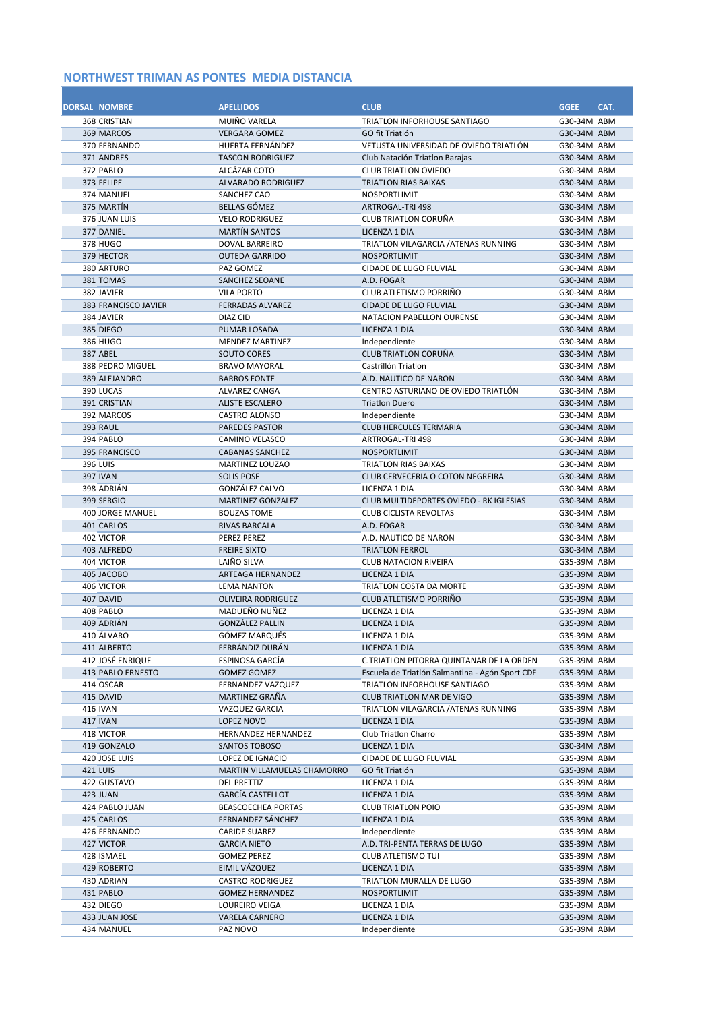| <b>DORSAL NOMBRE</b><br>368 CRISTIAN | <b>APELLIDOS</b><br>MUIÑO VARELA             | <b>CLUB</b><br>TRIATLON INFORHOUSE SANTIAGO            | <b>GGEE</b><br>G30-34M ABM | CAT. |
|--------------------------------------|----------------------------------------------|--------------------------------------------------------|----------------------------|------|
| 369 MARCOS                           | <b>VERGARA GOMEZ</b>                         | GO fit Triatlón                                        | G30-34M ABM                |      |
| 370 FERNANDO                         | HUERTA FERNÁNDEZ                             | VETUSTA UNIVERSIDAD DE OVIEDO TRIATLÓN                 | G30-34M ABM                |      |
| 371 ANDRES                           | <b>TASCON RODRIGUEZ</b>                      | Club Natación Triation Barajas                         | G30-34M ABM                |      |
| 372 PABLO                            | ALCÁZAR COTO                                 | <b>CLUB TRIATLON OVIEDO</b>                            | G30-34M ABM                |      |
| 373 FELIPE                           | <b>ALVARADO RODRIGUEZ</b>                    | <b>TRIATLON RIAS BAIXAS</b>                            | G30-34M ABM                |      |
| 374 MANUEL                           | SANCHEZ CAO                                  | NOSPORTLIMIT                                           | G30-34M ABM                |      |
| 375 MARTÍN                           | <b>BELLAS GÓMEZ</b>                          | <b>ARTROGAL-TRI 498</b>                                | G30-34M ABM                |      |
| 376 JUAN LUIS                        | <b>VELO RODRIGUEZ</b>                        | <b>CLUB TRIATLON CORUÑA</b>                            | G30-34M ABM                |      |
| 377 DANIEL                           | <b>MARTÍN SANTOS</b>                         | <b>LICENZA 1 DIA</b>                                   | G30-34M ABM                |      |
| 378 HUGO                             | <b>DOVAL BARREIRO</b>                        | TRIATLON VILAGARCIA / ATENAS RUNNING                   | G30-34M ABM                |      |
| 379 HECTOR                           | <b>OUTEDA GARRIDO</b>                        | NOSPORTLIMIT                                           | G30-34M ABM                |      |
| 380 ARTURO                           | PAZ GOMEZ                                    | <b>CIDADE DE LUGO FLUVIAL</b>                          | G30-34M ABM                |      |
| 381 TOMAS                            | <b>SANCHEZ SEOANE</b>                        | A.D. FOGAR                                             | G30-34M ABM                |      |
| 382 JAVIER                           | <b>VILA PORTO</b>                            | CLUB ATLETISMO PORRIÑO                                 | G30-34M ABM                |      |
| 383 FRANCISCO JAVIER                 | <b>FERRADAS ALVAREZ</b>                      | <b>CIDADE DE LUGO FLUVIAL</b>                          | G30-34M ABM                |      |
| 384 JAVIER                           | DIAZ CID                                     | NATACION PABELLON OURENSE                              | G30-34M ABM                |      |
| 385 DIEGO                            | PUMAR LOSADA                                 | LICENZA 1 DIA                                          | G30-34M ABM                |      |
| 386 HUGO<br><b>387 ABEL</b>          | <b>MENDEZ MARTINEZ</b><br><b>SOUTO CORES</b> | Independiente<br><b>CLUB TRIATLON CORUÑA</b>           | G30-34M ABM<br>G30-34M ABM |      |
| 388 PEDRO MIGUEL                     | <b>BRAVO MAYORAL</b>                         | Castrillón Triatlon                                    | G30-34M ABM                |      |
| 389 ALEJANDRO                        | <b>BARROS FONTE</b>                          | A.D. NAUTICO DE NARON                                  | G30-34M ABM                |      |
| 390 LUCAS                            | ALVAREZ CANGA                                | CENTRO ASTURIANO DE OVIEDO TRIATLÓN                    | G30-34M ABM                |      |
| 391 CRISTIAN                         | <b>ALISTE ESCALERO</b>                       | <b>Triatlon Duero</b>                                  | G30-34M ABM                |      |
| 392 MARCOS                           | CASTRO ALONSO                                | Independiente                                          | G30-34M ABM                |      |
| <b>393 RAUL</b>                      | <b>PAREDES PASTOR</b>                        | <b>CLUB HERCULES TERMARIA</b>                          | G30-34M ABM                |      |
| 394 PABLO                            | CAMINO VELASCO                               | ARTROGAL-TRI 498                                       | G30-34M ABM                |      |
| 395 FRANCISCO                        | <b>CABANAS SANCHEZ</b>                       | <b>NOSPORTLIMIT</b>                                    | G30-34M ABM                |      |
| 396 LUIS                             | MARTINEZ LOUZAO                              | <b>TRIATLON RIAS BAIXAS</b>                            | G30-34M ABM                |      |
| <b>397 IVAN</b>                      | <b>SOLIS POSE</b>                            | CLUB CERVECERIA O COTON NEGREIRA                       | G30-34M ABM                |      |
| 398 ADRIÁN                           | GONZÁLEZ CALVO                               | LICENZA 1 DIA                                          | G30-34M ABM                |      |
| 399 SERGIO                           | <b>MARTINEZ GONZALEZ</b>                     | CLUB MULTIDEPORTES OVIEDO - RK IGLESIAS                | G30-34M ABM                |      |
| <b>400 JORGE MANUEL</b>              | <b>BOUZAS TOME</b>                           | <b>CLUB CICLISTA REVOLTAS</b>                          | G30-34M ABM                |      |
| 401 CARLOS                           | <b>RIVAS BARCALA</b>                         | A.D. FOGAR                                             | G30-34M ABM                |      |
| 402 VICTOR                           | PEREZ PEREZ                                  | A.D. NAUTICO DE NARON                                  | G30-34M ABM                |      |
| 403 ALFREDO<br>404 VICTOR            | <b>FREIRE SIXTO</b><br>LAIÑO SILVA           | <b>TRIATLON FERROL</b><br><b>CLUB NATACION RIVEIRA</b> | G30-34M ABM<br>G35-39M ABM |      |
| 405 JACOBO                           | <b>ARTEAGA HERNANDEZ</b>                     | LICENZA 1 DIA                                          | G35-39M ABM                |      |
| 406 VICTOR                           | <b>LEMA NANTON</b>                           | TRIATLON COSTA DA MORTE                                | G35-39M ABM                |      |
| 407 DAVID                            | <b>OLIVEIRA RODRIGUEZ</b>                    | CLUB ATLETISMO PORRIÑO                                 | G35-39M ABM                |      |
| 408 PABLO                            | MADUEÑO NUÑEZ                                | LICENZA 1 DIA                                          | G35-39M ABM                |      |
| 409 ADRIÁN                           | <b>GONZÁLEZ PALLIN</b>                       | LICENZA 1 DIA                                          | G35-39M ABM                |      |
| 410 ALVARO                           | GÓMEZ MARQUÉS                                | LICENZA 1 DIA                                          | G35-39M ABM                |      |
| 411 ALBERTO                          | FERRÁNDIZ DURÁN                              | LICENZA 1 DIA                                          | G35-39M ABM                |      |
| 412 JOSÉ ENRIQUE                     | ESPINOSA GARCÍA                              | C.TRIATLON PITORRA QUINTANAR DE LA ORDEN               | G35-39M ABM                |      |
| 413 PABLO ERNESTO                    | <b>GOMEZ GOMEZ</b>                           | Escuela de Triatlón Salmantina - Agón Sport CDF        | G35-39M ABM                |      |
| 414 OSCAR                            | FERNANDEZ VAZQUEZ                            | TRIATLON INFORHOUSE SANTIAGO                           | G35-39M ABM                |      |
| 415 DAVID                            | MARTINEZ GRAÑA                               | <b>CLUB TRIATLON MAR DE VIGO</b>                       | G35-39M ABM                |      |
| 416 IVAN                             | VAZQUEZ GARCIA                               | TRIATLON VILAGARCIA / ATENAS RUNNING                   | G35-39M ABM                |      |
| <b>417 IVAN</b><br>418 VICTOR        | LOPEZ NOVO<br>HERNANDEZ HERNANDEZ            | LICENZA 1 DIA                                          | G35-39M ABM<br>G35-39M ABM |      |
| 419 GONZALO                          | SANTOS TOBOSO                                | Club Triatlon Charro<br>LICENZA 1 DIA                  | G30-34M ABM                |      |
| 420 JOSE LUIS                        | LOPEZ DE IGNACIO                             | CIDADE DE LUGO FLUVIAL                                 | G35-39M ABM                |      |
| <b>421 LUIS</b>                      | MARTIN VILLAMUELAS CHAMORRO                  | GO fit Triatlón                                        | G35-39M ABM                |      |
| 422 GUSTAVO                          | <b>DEL PRETTIZ</b>                           | LICENZA 1 DIA                                          | G35-39M ABM                |      |
| 423 JUAN                             | <b>GARCÍA CASTELLOT</b>                      | LICENZA 1 DIA                                          | G35-39M ABM                |      |
| 424 PABLO JUAN                       | BEASCOECHEA PORTAS                           | <b>CLUB TRIATLON POIO</b>                              | G35-39M ABM                |      |
| 425 CARLOS                           | FERNANDEZ SÁNCHEZ                            | LICENZA 1 DIA                                          | G35-39M ABM                |      |
| 426 FERNANDO                         | <b>CARIDE SUAREZ</b>                         | Independiente                                          | G35-39M ABM                |      |
| 427 VICTOR                           | <b>GARCIA NIETO</b>                          | A.D. TRI-PENTA TERRAS DE LUGO                          | G35-39M ABM                |      |
| 428 ISMAEL                           | <b>GOMEZ PEREZ</b>                           | <b>CLUB ATLETISMO TUI</b>                              | G35-39M ABM                |      |
| 429 ROBERTO                          | EIMIL VÁZQUEZ                                | LICENZA 1 DIA                                          | G35-39M ABM                |      |
| 430 ADRIAN                           | <b>CASTRO RODRIGUEZ</b>                      | TRIATLON MURALLA DE LUGO                               | G35-39M ABM                |      |
| 431 PABLO                            | <b>GOMEZ HERNANDEZ</b>                       | NOSPORTLIMIT                                           | G35-39M ABM                |      |
| 432 DIEGO                            | LOUREIRO VEIGA                               | LICENZA 1 DIA                                          | G35-39M ABM                |      |
| 433 JUAN JOSE<br>434 MANUEL          | VARELA CARNERO<br>PAZ NOVO                   | LICENZA 1 DIA<br>Independiente                         | G35-39M ABM<br>G35-39M ABM |      |
|                                      |                                              |                                                        |                            |      |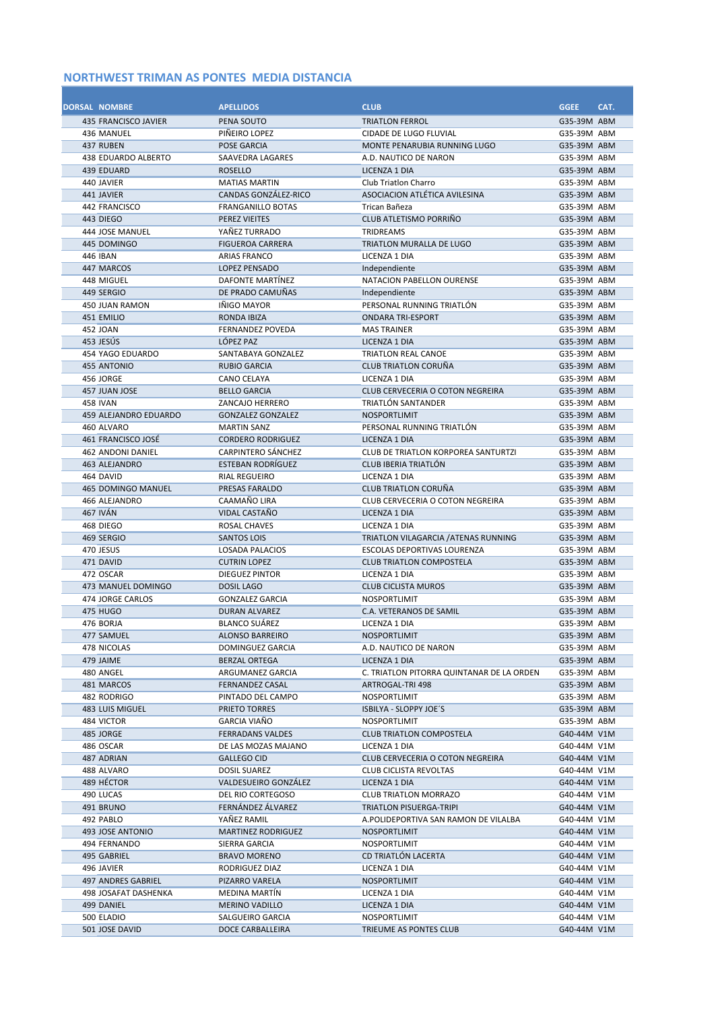| <b>DORSAL NOMBRE</b>               | <b>APELLIDOS</b>                            | <b>CLUB</b>                                                | <b>GGEE</b>                | CAT. |
|------------------------------------|---------------------------------------------|------------------------------------------------------------|----------------------------|------|
| 435 FRANCISCO JAVIER<br>436 MANUEL | PENA SOUTO<br>PIÑEIRO LOPEZ                 | <b>TRIATLON FERROL</b><br><b>CIDADE DE LUGO FLUVIAL</b>    | G35-39M ABM<br>G35-39M ABM |      |
| 437 RUBEN                          | POSE GARCIA                                 | MONTE PENARUBIA RUNNING LUGO                               | G35-39M ABM                |      |
| 438 EDUARDO ALBERTO                | SAAVEDRA LAGARES                            | A.D. NAUTICO DE NARON                                      | G35-39M ABM                |      |
| 439 EDUARD                         | <b>ROSELLO</b>                              | LICENZA 1 DIA                                              | G35-39M ABM                |      |
| 440 JAVIER                         | <b>MATIAS MARTIN</b>                        | <b>Club Triation Charro</b>                                | G35-39M ABM                |      |
| 441 JAVIER                         | CANDAS GONZÁLEZ-RICO                        | ASOCIACION ATLÉTICA AVILESINA                              | G35-39M ABM                |      |
| 442 FRANCISCO                      | <b>FRANGANILLO BOTAS</b>                    | Trican Bañeza                                              | G35-39M ABM                |      |
| 443 DIEGO                          | <b>PEREZ VIEITES</b>                        | CLUB ATLETISMO PORRIÑO                                     | G35-39M ABM                |      |
| 444 JOSE MANUEL                    | YAÑEZ TURRADO                               | <b>TRIDREAMS</b>                                           | G35-39M ABM                |      |
| 445 DOMINGO                        | <b>FIGUEROA CARRERA</b>                     | TRIATLON MURALLA DE LUGO                                   | G35-39M ABM                |      |
| 446 IBAN<br>447 MARCOS             | <b>ARIAS FRANCO</b><br><b>LOPEZ PENSADO</b> | LICENZA 1 DIA<br>Independiente                             | G35-39M ABM<br>G35-39M ABM |      |
| 448 MIGUEL                         | DAFONTE MARTÍNEZ                            | NATACION PABELLON OURENSE                                  | G35-39M ABM                |      |
| 449 SERGIO                         | DE PRADO CAMUÑAS                            | Independiente                                              | G35-39M ABM                |      |
| 450 JUAN RAMON                     | <b>INIGO MAYOR</b>                          | PERSONAL RUNNING TRIATLÓN                                  | G35-39M ABM                |      |
| 451 EMILIO                         | <b>RONDA IBIZA</b>                          | <b>ONDARA TRI-ESPORT</b>                                   | G35-39M ABM                |      |
| 452 JOAN                           | <b>FERNANDEZ POVEDA</b>                     | <b>MAS TRAINER</b>                                         | G35-39M ABM                |      |
| 453 JESÚS                          | LÓPEZ PAZ                                   | LICENZA 1 DIA                                              | G35-39M ABM                |      |
| 454 YAGO EDUARDO                   | SANTABAYA GONZALEZ                          | <b>TRIATLON REAL CANOE</b>                                 | G35-39M ABM                |      |
| 455 ANTONIO                        | <b>RUBIO GARCIA</b>                         | <b>CLUB TRIATLON CORUÑA</b>                                | G35-39M ABM                |      |
| 456 JORGE<br>457 JUAN JOSE         | CANO CELAYA<br><b>BELLO GARCIA</b>          | LICENZA 1 DIA<br>CLUB CERVECERIA O COTON NEGREIRA          | G35-39M ABM<br>G35-39M ABM |      |
| <b>458 IVAN</b>                    | ZANCAJO HERRERO                             | TRIATLÓN SANTANDER                                         | G35-39M ABM                |      |
| 459 ALEJANDRO EDUARDO              | <b>GONZALEZ GONZALEZ</b>                    | <b>NOSPORTLIMIT</b>                                        | G35-39M ABM                |      |
| 460 ALVARO                         | <b>MARTIN SANZ</b>                          | PERSONAL RUNNING TRIATLÓN                                  | G35-39M ABM                |      |
| 461 FRANCISCO JOSÉ                 | <b>CORDERO RODRIGUEZ</b>                    | LICENZA 1 DIA                                              | G35-39M ABM                |      |
| 462 ANDONI DANIEL                  | <b>CARPINTERO SÁNCHEZ</b>                   | <b>CLUB DE TRIATLON KORPOREA SANTURTZI</b>                 | G35-39M ABM                |      |
| 463 ALEJANDRO                      | <b>ESTEBAN RODRÍGUEZ</b>                    | CLUB IBERIA TRIATLÓN                                       | G35-39M ABM                |      |
| 464 DAVID                          | <b>RIAL REGUEIRO</b>                        | LICENZA 1 DIA                                              | G35-39M ABM                |      |
| <b>465 DOMINGO MANUEL</b>          | PRESAS FARALDO                              | <b>CLUB TRIATLON CORUÑA</b>                                | G35-39M ABM                |      |
| 466 ALEJANDRO<br>467 IVÁN          | CAAMAÑO LIRA<br>VIDAL CASTAÑO               | CLUB CERVECERIA O COTON NEGREIRA                           | G35-39M ABM                |      |
| 468 DIEGO                          | <b>ROSAL CHAVES</b>                         | LICENZA 1 DIA<br>LICENZA 1 DIA                             | G35-39M ABM<br>G35-39M ABM |      |
| 469 SERGIO                         | <b>SANTOS LOIS</b>                          | TRIATLON VILAGARCIA / ATENAS RUNNING                       | G35-39M ABM                |      |
| 470 JESUS                          | <b>LOSADA PALACIOS</b>                      | <b>ESCOLAS DEPORTIVAS LOURENZA</b>                         | G35-39M ABM                |      |
| 471 DAVID                          | <b>CUTRIN LOPEZ</b>                         | <b>CLUB TRIATLON COMPOSTELA</b>                            | G35-39M ABM                |      |
| 472 OSCAR                          | <b>DIEGUEZ PINTOR</b>                       | LICENZA 1 DIA                                              | G35-39M ABM                |      |
| 473 MANUEL DOMINGO                 | <b>DOSIL LAGO</b>                           | <b>CLUB CICLISTA MUROS</b>                                 | G35-39M ABM                |      |
| 474 JORGE CARLOS                   | <b>GONZALEZ GARCIA</b>                      | <b>NOSPORTLIMIT</b>                                        | G35-39M ABM                |      |
| 475 HUGO                           | <b>DURAN ALVAREZ</b>                        | C.A. VETERANOS DE SAMIL                                    | G35-39M ABM                |      |
| 476 BORJA                          | <b>BLANCO SUÁREZ</b>                        | LICENZA 1 DIA                                              | G35-39M ABM                |      |
| 477 SAMUEL<br>478 NICOLAS          | <b>ALONSO BARREIRO</b><br>DOMINGUEZ GARCIA  | <b>NOSPORTLIMIT</b><br>A.D. NAUTICO DE NARON               | G35-39M ABM<br>G35-39M ABM |      |
| 479 JAIME                          | BERZAL ORTEGA                               | LICENZA 1 DIA                                              | G35-39M ABM                |      |
| 480 ANGEL                          | ARGUMANEZ GARCIA                            | C. TRIATLON PITORRA QUINTANAR DE LA ORDEN                  | G35-39M ABM                |      |
| 481 MARCOS                         | FERNANDEZ CASAL                             | ARTROGAL-TRI 498                                           | G35-39M ABM                |      |
| 482 RODRIGO                        | PINTADO DEL CAMPO                           | <b>NOSPORTLIMIT</b>                                        | G35-39M ABM                |      |
| 483 LUIS MIGUEL                    | PRIETO TORRES                               | ISBILYA - SLOPPY JOE'S                                     | G35-39M ABM                |      |
| 484 VICTOR                         | GARCIA VIAÑO                                | NOSPORTLIMIT                                               | G35-39M ABM                |      |
| 485 JORGE                          | <b>FERRADANS VALDES</b>                     | <b>CLUB TRIATLON COMPOSTELA</b>                            | G40-44M V1M                |      |
| 486 OSCAR                          | DE LAS MOZAS MAJANO<br><b>GALLEGO CID</b>   | LICENZA 1 DIA                                              | G40-44M V1M                |      |
| 487 ADRIAN<br>488 ALVARO           | <b>DOSIL SUAREZ</b>                         | CLUB CERVECERIA O COTON NEGREIRA<br>CLUB CICLISTA REVOLTAS | G40-44M V1M<br>G40-44M V1M |      |
| 489 HÉCTOR                         | VALDESUEIRO GONZÁLEZ                        | LICENZA 1 DIA                                              | G40-44M V1M                |      |
| 490 LUCAS                          | DEL RIO CORTEGOSO                           | <b>CLUB TRIATLON MORRAZO</b>                               | G40-44M V1M                |      |
| 491 BRUNO                          | FERNÁNDEZ ÁLVAREZ                           | TRIATLON PISUERGA-TRIPI                                    | G40-44M V1M                |      |
| 492 PABLO                          | YAÑEZ RAMIL                                 | A.POLIDEPORTIVA SAN RAMON DE VILALBA                       | G40-44M V1M                |      |
| 493 JOSE ANTONIO                   | <b>MARTINEZ RODRIGUEZ</b>                   | NOSPORTLIMIT                                               | G40-44M V1M                |      |
| 494 FERNANDO                       | SIERRA GARCIA                               | NOSPORTLIMIT                                               | G40-44M V1M                |      |
| 495 GABRIEL                        | <b>BRAVO MORENO</b>                         | CD TRIATLÓN LACERTA                                        | G40-44M V1M                |      |
| 496 JAVIER<br>497 ANDRES GABRIEL   | RODRIGUEZ DIAZ                              | LICENZA 1 DIA                                              | G40-44M V1M                |      |
| 498 JOSAFAT DASHENKA               | PIZARRO VARELA<br>MEDINA MARTIN             | <b>NOSPORTLIMIT</b><br>LICENZA 1 DIA                       | G40-44M V1M<br>G40-44M V1M |      |
| 499 DANIEL                         | <b>MERINO VADILLO</b>                       | LICENZA 1 DIA                                              | G40-44M V1M                |      |
| 500 ELADIO                         | SALGUEIRO GARCIA                            | NOSPORTLIMIT                                               | G40-44M V1M                |      |
| 501 JOSE DAVID                     | DOCE CARBALLEIRA                            | TRIEUME AS PONTES CLUB                                     | G40-44M V1M                |      |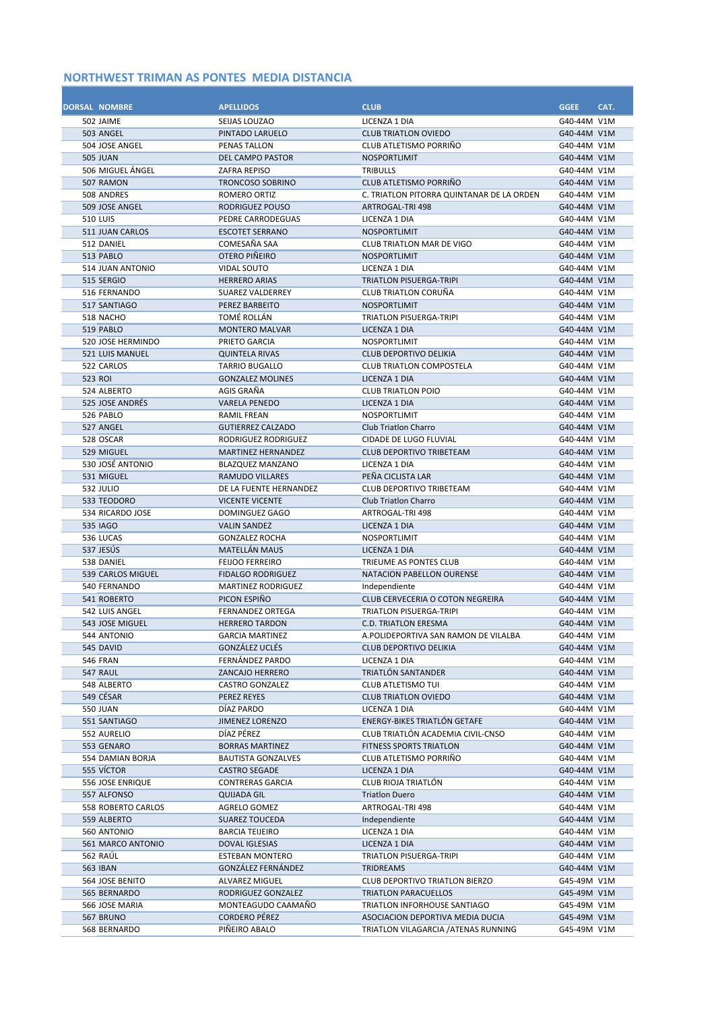| <b>DORSAL NOMBRE</b>              | <b>APELLIDOS</b>                                   | <b>CLUB</b>                                                      | <b>GGEE</b>                | CAT. |
|-----------------------------------|----------------------------------------------------|------------------------------------------------------------------|----------------------------|------|
| 502 JAIME                         | SEIJAS LOUZAO                                      | LICENZA 1 DIA                                                    | G40-44M V1M                |      |
| 503 ANGEL                         | PINTADO LARUELO                                    | <b>CLUB TRIATLON OVIEDO</b>                                      | G40-44M V1M                |      |
| 504 JOSE ANGEL<br><b>505 JUAN</b> | <b>PENAS TALLON</b><br><b>DEL CAMPO PASTOR</b>     | CLUB ATLETISMO PORRIÑO<br><b>NOSPORTLIMIT</b>                    | G40-44M V1M<br>G40-44M V1M |      |
| 506 MIGUEL ÁNGEL                  | <b>ZAFRA REPISO</b>                                | TRIBULLS                                                         | G40-44M V1M                |      |
| 507 RAMON                         | <b>TRONCOSO SOBRINO</b>                            | CLUB ATLETISMO PORRIÑO                                           | G40-44M V1M                |      |
| 508 ANDRES                        | ROMERO ORTIZ                                       | C. TRIATLON PITORRA QUINTANAR DE LA ORDEN                        | G40-44M V1M                |      |
| 509 JOSE ANGEL                    | RODRIGUEZ POUSO                                    | <b>ARTROGAL-TRI 498</b>                                          | G40-44M V1M                |      |
| <b>510 LUIS</b>                   | PEDRE CARRODEGUAS                                  | LICENZA 1 DIA                                                    | G40-44M V1M                |      |
| 511 JUAN CARLOS                   | <b>ESCOTET SERRANO</b>                             | <b>NOSPORTLIMIT</b>                                              | G40-44M V1M                |      |
| 512 DANIEL                        | COMESAÑA SAA                                       | <b>CLUB TRIATLON MAR DE VIGO</b>                                 | G40-44M V1M                |      |
| 513 PABLO                         | OTERO PIÑEIRO                                      | <b>NOSPORTLIMIT</b>                                              | G40-44M V1M                |      |
| 514 JUAN ANTONIO                  | <b>VIDAL SOUTO</b>                                 | LICENZA 1 DIA                                                    | G40-44M V1M                |      |
| 515 SERGIO                        | <b>HERRERO ARIAS</b>                               | TRIATLON PISUERGA-TRIPI                                          | G40-44M V1M                |      |
| 516 FERNANDO                      | <b>SUAREZ VALDERREY</b>                            | <b>CLUB TRIATLON CORUÑA</b>                                      | G40-44M V1M                |      |
| 517 SANTIAGO                      | PEREZ BARBEITO                                     | <b>NOSPORTLIMIT</b>                                              | G40-44M V1M                |      |
| 518 NACHO                         | TOMÉ ROLLÁN                                        | <b>TRIATLON PISUERGA-TRIPI</b>                                   | G40-44M V1M                |      |
| 519 PABLO                         | <b>MONTERO MALVAR</b>                              | LICENZA 1 DIA                                                    | G40-44M V1M                |      |
| 520 JOSE HERMINDO                 | PRIETO GARCIA                                      | <b>NOSPORTLIMIT</b>                                              | G40-44M V1M                |      |
| 521 LUIS MANUEL<br>522 CARLOS     | <b>QUINTELA RIVAS</b><br><b>TARRIO BUGALLO</b>     | <b>CLUB DEPORTIVO DELIKIA</b><br><b>CLUB TRIATLON COMPOSTELA</b> | G40-44M V1M<br>G40-44M V1M |      |
| 523 ROI                           | <b>GONZALEZ MOLINES</b>                            | LICENZA 1 DIA                                                    | G40-44M V1M                |      |
| 524 ALBERTO                       | AGIS GRAÑA                                         | <b>CLUB TRIATLON POIO</b>                                        | G40-44M V1M                |      |
| 525 JOSE ANDRÉS                   | <b>VARELA PENEDO</b>                               | LICENZA 1 DIA                                                    | G40-44M V1M                |      |
| 526 PABLO                         | <b>RAMIL FREAN</b>                                 | <b>NOSPORTLIMIT</b>                                              | G40-44M V1M                |      |
| 527 ANGEL                         | <b>GUTIERREZ CALZADO</b>                           | Club Triation Charro                                             | G40-44M V1M                |      |
| 528 OSCAR                         | RODRIGUEZ RODRIGUEZ                                | CIDADE DE LUGO FLUVIAL                                           | G40-44M V1M                |      |
| 529 MIGUEL                        | <b>MARTINEZ HERNANDEZ</b>                          | <b>CLUB DEPORTIVO TRIBETEAM</b>                                  | G40-44M V1M                |      |
| 530 JOSÉ ANTONIO                  | <b>BLAZQUEZ MANZANO</b>                            | LICENZA 1 DIA                                                    | G40-44M V1M                |      |
| 531 MIGUEL                        | RAMUDO VILLARES                                    | PEÑA CICLISTA LAR                                                | G40-44M V1M                |      |
| 532 JULIO                         | DE LA FUENTE HERNANDEZ                             | <b>CLUB DEPORTIVO TRIBETEAM</b>                                  | G40-44M V1M                |      |
| 533 TEODORO                       | <b>VICENTE VICENTE</b>                             | <b>Club Triation Charro</b>                                      | G40-44M V1M                |      |
| 534 RICARDO JOSE                  | DOMINGUEZ GAGO                                     | ARTROGAL-TRI 498                                                 | G40-44M V1M                |      |
| 535 IAGO                          | <b>VALIN SANDEZ</b>                                | LICENZA 1 DIA                                                    | G40-44M V1M                |      |
| 536 LUCAS                         | <b>GONZALEZ ROCHA</b>                              | NOSPORTLIMIT                                                     | G40-44M V1M                |      |
| 537 JESÚS                         | <b>MATELLÁN MAUS</b>                               | LICENZA 1 DIA                                                    | G40-44M V1M<br>G40-44M V1M |      |
| 538 DANIEL<br>539 CARLOS MIGUEL   | <b>FEIJOO FERREIRO</b><br><b>FIDALGO RODRIGUEZ</b> | TRIEUME AS PONTES CLUB<br>NATACION PABELLON OURENSE              | G40-44M V1M                |      |
| 540 FERNANDO                      | <b>MARTINEZ RODRIGUEZ</b>                          | Independiente                                                    | G40-44M V1M                |      |
| 541 ROBERTO                       | PICON ESPIÑO                                       | CLUB CERVECERIA O COTON NEGREIRA                                 | G40-44M V1M                |      |
| 542 LUIS ANGEL                    | <b>FERNANDEZ ORTEGA</b>                            | TRIATLON PISUERGA-TRIPI                                          | G40-44M V1M                |      |
| 543 JOSE MIGUEL                   | <b>HERRERO TARDON</b>                              | <b>C.D. TRIATLON ERESMA</b>                                      | G40-44M V1M                |      |
| 544 ANTONIO                       | <b>GARCIA MARTINEZ</b>                             | A.POLIDEPORTIVA SAN RAMON DE VILALBA                             | G40-44M V1M                |      |
| 545 DAVID                         | GONZÁLEZ UCLÉS                                     | CLUB DEPORTIVO DELIKIA                                           | G40-44M V1M                |      |
| <b>546 FRAN</b>                   | FERNÁNDEZ PARDO                                    | LICENZA 1 DIA                                                    | G40-44M V1M                |      |
| 547 RAUL                          | ZANCAJO HERRERO                                    | TRIATLÓN SANTANDER                                               | G40-44M V1M                |      |
| 548 ALBERTO                       | <b>CASTRO GONZALEZ</b>                             | CLUB ATLETISMO TUI                                               | G40-44M V1M                |      |
| 549 CÉSAR                         | PEREZ REYES                                        | <b>CLUB TRIATLON OVIEDO</b>                                      | G40-44M V1M                |      |
| <b>550 JUAN</b>                   | DÍAZ PARDO                                         | LICENZA 1 DIA                                                    | G40-44M V1M                |      |
| 551 SANTIAGO                      | <b>JIMENEZ LORENZO</b><br>DÍAZ PÉREZ               | ENERGY-BIKES TRIATLÓN GETAFE                                     | G40-44M V1M                |      |
| 552 AURELIO<br>553 GENARO         | <b>BORRAS MARTINEZ</b>                             | CLUB TRIATLÓN ACADEMIA CIVIL-CNSO<br>FITNESS SPORTS TRIATLON     | G40-44M V1M<br>G40-44M V1M |      |
| 554 DAMIAN BORJA                  | <b>BAUTISTA GONZALVES</b>                          | CLUB ATLETISMO PORRIÑO                                           | G40-44M V1M                |      |
| 555 VÍCTOR                        | <b>CASTRO SEGADE</b>                               | LICENZA 1 DIA                                                    | G40-44M V1M                |      |
| 556 JOSE ENRIQUE                  | <b>CONTRERAS GARCIA</b>                            | CLUB RIOJA TRIATLÓN                                              | G40-44M V1M                |      |
| 557 ALFONSO                       | <b>QUIJADA GIL</b>                                 | <b>Triatlon Duero</b>                                            | G40-44M V1M                |      |
| 558 ROBERTO CARLOS                | AGRELO GOMEZ                                       | ARTROGAL-TRI 498                                                 | G40-44M V1M                |      |
| 559 ALBERTO                       | <b>SUAREZ TOUCEDA</b>                              | Independiente                                                    | G40-44M V1M                |      |
| 560 ANTONIO                       | BARCIA TEIJEIRO                                    | LICENZA 1 DIA                                                    | G40-44M V1M                |      |
| 561 MARCO ANTONIO                 | DOVAL IGLESIAS                                     | LICENZA 1 DIA                                                    | G40-44M V1M                |      |
| 562 RAÚL                          | <b>ESTEBAN MONTERO</b>                             | TRIATLON PISUERGA-TRIPI                                          | G40-44M V1M                |      |
| 563 IBAN                          | GONZÁLEZ FERNÁNDEZ                                 | TRIDREAMS                                                        | G40-44M V1M                |      |
| 564 JOSE BENITO                   | ALVAREZ MIGUEL                                     | <b>CLUB DEPORTIVO TRIATLON BIERZO</b>                            | G45-49M V1M                |      |
| 565 BERNARDO                      | RODRIGUEZ GONZALEZ                                 | TRIATLON PARACUELLOS                                             | G45-49M V1M                |      |
| 566 JOSE MARIA                    | MONTEAGUDO CAAMAÑO                                 | TRIATLON INFORHOUSE SANTIAGO                                     | G45-49M V1M                |      |
| 567 BRUNO                         | CORDERO PÉREZ<br>PIÑEIRO ABALO                     | ASOCIACION DEPORTIVA MEDIA DUCIA                                 | G45-49M V1M<br>G45-49M V1M |      |
| 568 BERNARDO                      |                                                    | TRIATLON VILAGARCIA / ATENAS RUNNING                             |                            |      |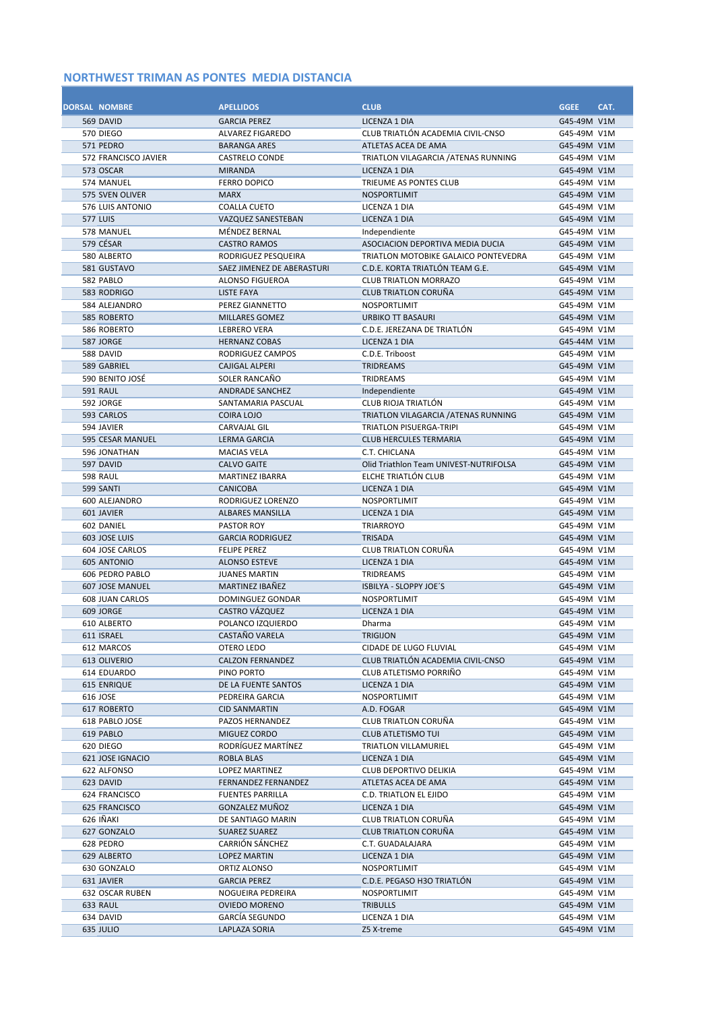| <b>DORSAL NOMBRE</b> |                                | <b>APELLIDOS</b>                               | <b>CLUB</b>                                                 | <b>GGEE</b>                | CAT. |
|----------------------|--------------------------------|------------------------------------------------|-------------------------------------------------------------|----------------------------|------|
|                      | 569 DAVID<br>570 DIEGO         | <b>GARCIA PEREZ</b><br><b>ALVAREZ FIGAREDO</b> | LICENZA 1 DIA<br>CLUB TRIATLÓN ACADEMIA CIVIL-CNSO          | G45-49M V1M<br>G45-49M V1M |      |
|                      | 571 PEDRO                      | <b>BARANGA ARES</b>                            | ATLETAS ACEA DE AMA                                         | G45-49M V1M                |      |
|                      | 572 FRANCISCO JAVIER           | <b>CASTRELO CONDE</b>                          | TRIATLON VILAGARCIA / ATENAS RUNNING                        | G45-49M V1M                |      |
|                      | 573 OSCAR                      | <b>MIRANDA</b>                                 | LICENZA 1 DIA                                               | G45-49M V1M                |      |
|                      | 574 MANUEL                     | <b>FERRO DOPICO</b>                            | TRIEUME AS PONTES CLUB                                      | G45-49M V1M                |      |
|                      | 575 SVEN OLIVER                | <b>MARX</b>                                    | <b>NOSPORTLIMIT</b>                                         | G45-49M V1M                |      |
|                      | 576 LUIS ANTONIO               | <b>COALLA CUETO</b>                            | LICENZA 1 DIA                                               | G45-49M V1M                |      |
|                      | <b>577 LUIS</b>                | VAZQUEZ SANESTEBAN                             | LICENZA 1 DIA                                               | G45-49M V1M                |      |
|                      | 578 MANUEL                     | MÉNDEZ BERNAL                                  | Independiente                                               | G45-49M V1M                |      |
|                      | 579 CÉSAR                      | <b>CASTRO RAMOS</b>                            | ASOCIACION DEPORTIVA MEDIA DUCIA                            | G45-49M V1M                |      |
|                      | 580 ALBERTO                    | RODRIGUEZ PESQUEIRA                            | TRIATLON MOTOBIKE GALAICO PONTEVEDRA                        | G45-49M V1M                |      |
|                      | 581 GUSTAVO                    | SAEZ JIMENEZ DE ABERASTURI                     | C.D.E. KORTA TRIATLÓN TEAM G.E.                             | G45-49M V1M                |      |
|                      | 582 PABLO<br>583 RODRIGO       | <b>ALONSO FIGUEROA</b><br>LISTE FAYA           | <b>CLUB TRIATLON MORRAZO</b><br><b>CLUB TRIATLON CORUÑA</b> | G45-49M V1M<br>G45-49M V1M |      |
|                      | 584 ALEJANDRO                  | PEREZ GIANNETTO                                | NOSPORTLIMIT                                                | G45-49M V1M                |      |
|                      | 585 ROBERTO                    | <b>MILLARES GOMEZ</b>                          | <b>URBIKO TT BASAURI</b>                                    | G45-49M V1M                |      |
|                      | 586 ROBERTO                    | <b>LEBRERO VERA</b>                            | C.D.E. JEREZANA DE TRIATLÓN                                 | G45-49M V1M                |      |
|                      | 587 JORGE                      | <b>HERNANZ COBAS</b>                           | <b>LICENZA 1 DIA</b>                                        | G45-44M V1M                |      |
|                      | 588 DAVID                      | RODRIGUEZ CAMPOS                               | C.D.E. Triboost                                             | G45-49M V1M                |      |
|                      | 589 GABRIEL                    | <b>CAJIGAL ALPERI</b>                          | TRIDREAMS                                                   | G45-49M V1M                |      |
|                      | 590 BENITO JOSÉ                | SOLER RANCAÑO                                  | <b>TRIDREAMS</b>                                            | G45-49M V1M                |      |
|                      | <b>591 RAUL</b>                | <b>ANDRADE SANCHEZ</b>                         | Independiente                                               | G45-49M V1M                |      |
|                      | 592 JORGE                      | SANTAMARIA PASCUAL                             | CLUB RIOJA TRIATLÓN                                         | G45-49M V1M                |      |
|                      | 593 CARLOS                     | <b>COIRA LOJO</b>                              | TRIATLON VILAGARCIA / ATENAS RUNNING                        | G45-49M V1M                |      |
|                      | 594 JAVIER                     | <b>CARVAJAL GIL</b>                            | <b>TRIATLON PISUERGA-TRIPI</b>                              | G45-49M V1M                |      |
|                      | 595 CESAR MANUEL               | <b>LERMA GARCIA</b>                            | <b>CLUB HERCULES TERMARIA</b>                               | G45-49M V1M                |      |
|                      | 596 JONATHAN<br>597 DAVID      | <b>MACIAS VELA</b>                             | C.T. CHICLANA<br>Olid Triathlon Team UNIVEST-NUTRIFOLSA     | G45-49M V1M<br>G45-49M V1M |      |
|                      | 598 RAUL                       | <b>CALVO GAITE</b><br><b>MARTINEZ IBARRA</b>   | ELCHE TRIATLÓN CLUB                                         | G45-49M V1M                |      |
|                      | 599 SANTI                      | <b>CANICOBA</b>                                | LICENZA 1 DIA                                               | G45-49M V1M                |      |
|                      | 600 ALEJANDRO                  | RODRIGUEZ LORENZO                              | <b>NOSPORTLIMIT</b>                                         | G45-49M V1M                |      |
|                      | 601 JAVIER                     | <b>ALBARES MANSILLA</b>                        | LICENZA 1 DIA                                               | G45-49M V1M                |      |
|                      | 602 DANIEL                     | PASTOR ROY                                     | <b>TRIARROYO</b>                                            | G45-49M V1M                |      |
|                      | 603 JOSE LUIS                  | <b>GARCIA RODRIGUEZ</b>                        | <b>TRISADA</b>                                              | G45-49M V1M                |      |
|                      | 604 JOSE CARLOS                | <b>FELIPE PEREZ</b>                            | <b>CLUB TRIATLON CORUÑA</b>                                 | G45-49M V1M                |      |
|                      | <b>605 ANTONIO</b>             | <b>ALONSO ESTEVE</b>                           | LICENZA 1 DIA                                               | G45-49M V1M                |      |
|                      | 606 PEDRO PABLO                | <b>JUANES MARTIN</b>                           | <b>TRIDREAMS</b>                                            | G45-49M V1M                |      |
|                      | <b>607 JOSE MANUEL</b>         | MARTINEZ IBAÑEZ                                | ISBILYA - SLOPPY JOE'S                                      | G45-49M V1M                |      |
|                      | <b>608 JUAN CARLOS</b>         | <b>DOMINGUEZ GONDAR</b>                        | NOSPORTLIMIT                                                | G45-49M V1M                |      |
|                      | 609 JORGE<br>610 ALBERTO       | <b>CASTRO VÁZQUEZ</b>                          | LICENZA 1 DIA                                               | G45-49M V1M                |      |
|                      | 611 ISRAEL                     | POLANCO IZQUIERDO<br>CASTANO VARELA            | Dharma<br><b>TRIGIJON</b>                                   | G45-49M V1M<br>G45-49M V1M |      |
|                      | 612 MARCOS                     | OTERO LEDO                                     | CIDADE DE LUGO FLUVIAL                                      | G45-49M V1M                |      |
|                      | 613 OLIVERIO                   | <b>CALZON FERNANDEZ</b>                        | CLUB TRIATLÓN ACADEMIA CIVIL-CNSO                           | G45-49M V1M                |      |
|                      | 614 EDUARDO                    | PINO PORTO                                     | CLUB ATLETISMO PORRIÑO                                      | G45-49M V1M                |      |
|                      | <b>615 ENRIQUE</b>             | DE LA FUENTE SANTOS                            | LICENZA 1 DIA                                               | G45-49M V1M                |      |
|                      | 616 JOSE                       | PEDREIRA GARCIA                                | NOSPORTLIMIT                                                | G45-49M V1M                |      |
|                      | 617 ROBERTO                    | <b>CID SANMARTIN</b>                           | A.D. FOGAR                                                  | G45-49M V1M                |      |
|                      | 618 PABLO JOSE                 | PAZOS HERNANDEZ                                | CLUB TRIATLON CORUÑA                                        | G45-49M V1M                |      |
|                      | 619 PABLO                      | MIGUEZ CORDO                                   | <b>CLUB ATLETISMO TUI</b>                                   | G45-49M V1M                |      |
|                      | 620 DIEGO                      | RODRÍGUEZ MARTÍNEZ                             | <b>TRIATLON VILLAMURIEL</b>                                 | G45-49M V1M                |      |
|                      | 621 JOSE IGNACIO               | ROBLA BLAS                                     | LICENZA 1 DIA                                               | G45-49M V1M                |      |
|                      | 622 ALFONSO                    | LOPEZ MARTINEZ                                 | CLUB DEPORTIVO DELIKIA                                      | G45-49M V1M                |      |
|                      | 623 DAVID                      | <b>FERNANDEZ FERNANDEZ</b>                     | ATLETAS ACEA DE AMA                                         | G45-49M V1M                |      |
|                      | 624 FRANCISCO<br>625 FRANCISCO | <b>FUENTES PARRILLA</b><br>GONZALEZ MUÑOZ      | C.D. TRIATLON EL EJIDO<br>LICENZA 1 DIA                     | G45-49M V1M<br>G45-49M V1M |      |
|                      | 626 IÑAKI                      | DE SANTIAGO MARIN                              | CLUB TRIATLON CORUÑA                                        | G45-49M V1M                |      |
|                      | 627 GONZALO                    | <b>SUAREZ SUAREZ</b>                           | <b>CLUB TRIATLON CORUÑA</b>                                 | G45-49M V1M                |      |
|                      | 628 PEDRO                      | CARRIÓN SÁNCHEZ                                | C.T. GUADALAJARA                                            | G45-49M V1M                |      |
|                      | 629 ALBERTO                    | <b>LOPEZ MARTIN</b>                            | LICENZA 1 DIA                                               | G45-49M V1M                |      |
|                      | 630 GONZALO                    | ORTIZ ALONSO                                   | NOSPORTLIMIT                                                | G45-49M V1M                |      |
|                      | 631 JAVIER                     | <b>GARCIA PEREZ</b>                            | C.D.E. PEGASO H3O TRIATLÓN                                  | G45-49M V1M                |      |
|                      | 632 OSCAR RUBEN                | NOGUEIRA PEDREIRA                              | NOSPORTLIMIT                                                | G45-49M V1M                |      |
|                      | 633 RAUL                       | <b>OVIEDO MORENO</b>                           | <b>TRIBULLS</b>                                             | G45-49M V1M                |      |
|                      | 634 DAVID                      | GARCÍA SEGUNDO                                 | LICENZA 1 DIA                                               | G45-49M V1M                |      |
|                      | 635 JULIO                      | LAPLAZA SORIA                                  | Z5 X-treme                                                  | G45-49M V1M                |      |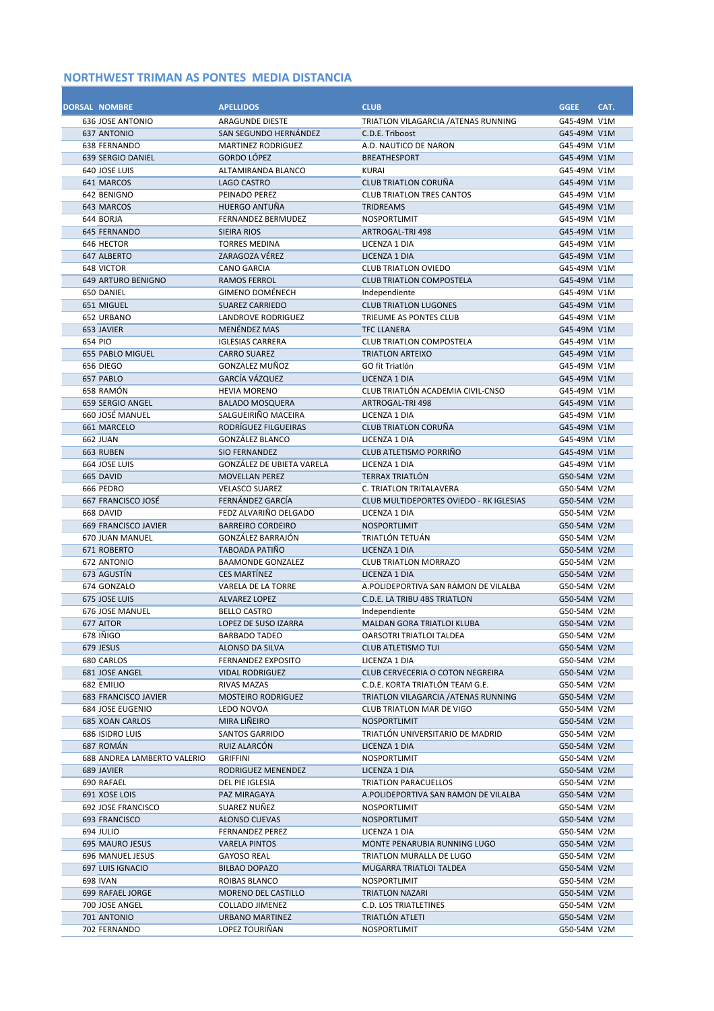| <b>DORSAL NOMBRE</b>                          | <b>APELLIDOS</b>                          | <b>CLUB</b>                                                    | <b>GGEE</b>                | CAT. |
|-----------------------------------------------|-------------------------------------------|----------------------------------------------------------------|----------------------------|------|
| <b>636 JOSE ANTONIO</b><br><b>637 ANTONIO</b> | ARAGUNDE DIESTE<br>SAN SEGUNDO HERNÁNDEZ  | TRIATLON VILAGARCIA / ATENAS RUNNING<br>C.D.E. Triboost        | G45-49M V1M<br>G45-49M V1M |      |
| <b>638 FERNANDO</b>                           | <b>MARTINEZ RODRIGUEZ</b>                 | A.D. NAUTICO DE NARON                                          | G45-49M V1M                |      |
| 639 SERGIO DANIEL                             | <b>GORDO LÓPEZ</b>                        | <b>BREATHESPORT</b>                                            | G45-49M V1M                |      |
| 640 JOSE LUIS                                 | ALTAMIRANDA BLANCO                        | <b>KURAI</b>                                                   | G45-49M V1M                |      |
| 641 MARCOS                                    | <b>LAGO CASTRO</b>                        | <b>CLUB TRIATLON CORUÑA</b>                                    | G45-49M V1M                |      |
| 642 BENIGNO                                   | PEINADO PEREZ                             | <b>CLUB TRIATLON TRES CANTOS</b>                               | G45-49M V1M                |      |
| 643 MARCOS                                    | HUERGO ANTUÑA                             | <b>TRIDREAMS</b>                                               | G45-49M V1M                |      |
| 644 BORJA                                     | <b>FERNANDEZ BERMUDEZ</b>                 | <b>NOSPORTLIMIT</b>                                            | G45-49M V1M                |      |
| <b>645 FERNANDO</b>                           | <b>SIEIRA RIOS</b>                        | ARTROGAL-TRI 498                                               | G45-49M V1M                |      |
| 646 HECTOR                                    | <b>TORRES MEDINA</b>                      | LICENZA 1 DIA                                                  | G45-49M V1M                |      |
| 647 ALBERTO                                   | ZARAGOZA VÉREZ                            | LICENZA 1 DIA                                                  | G45-49M V1M                |      |
| 648 VICTOR<br><b>649 ARTURO BENIGNO</b>       | <b>CANO GARCIA</b><br><b>RAMOS FERROL</b> | <b>CLUB TRIATLON OVIEDO</b><br><b>CLUB TRIATLON COMPOSTELA</b> | G45-49M V1M<br>G45-49M V1M |      |
| 650 DANIEL                                    | <b>GIMENO DOMÉNECH</b>                    | Independiente                                                  | G45-49M V1M                |      |
| 651 MIGUEL                                    | <b>SUAREZ CARRIEDO</b>                    | <b>CLUB TRIATLON LUGONES</b>                                   | G45-49M V1M                |      |
| 652 URBANO                                    | <b>LANDROVE RODRIGUEZ</b>                 | TRIEUME AS PONTES CLUB                                         | G45-49M V1M                |      |
| 653 JAVIER                                    | <b>MENÉNDEZ MAS</b>                       | <b>TFC LLANERA</b>                                             | G45-49M V1M                |      |
| 654 PIO                                       | <b>IGLESIAS CARRERA</b>                   | <b>CLUB TRIATLON COMPOSTELA</b>                                | G45-49M V1M                |      |
| <b>655 PABLO MIGUEL</b>                       | <b>CARRO SUAREZ</b>                       | <b>TRIATLON ARTEIXO</b>                                        | G45-49M V1M                |      |
| 656 DIEGO                                     | GONZALEZ MUÑOZ                            | GO fit Triatlón                                                | G45-49M V1M                |      |
| 657 PABLO                                     | GARCÍA VÁZQUEZ                            | LICENZA 1 DIA                                                  | G45-49M V1M                |      |
| 658 RAMÓN                                     | <b>HEVIA MORENO</b>                       | CLUB TRIATLÓN ACADEMIA CIVIL-CNSO                              | G45-49M V1M                |      |
| 659 SERGIO ANGEL                              | <b>BALADO MOSQUERA</b>                    | ARTROGAL-TRI 498                                               | G45-49M V1M                |      |
| 660 JOSÉ MANUEL                               | SALGUEIRIÑO MACEIRA                       | LICENZA 1 DIA<br><b>CLUB TRIATLON CORUÑA</b>                   | G45-49M V1M                |      |
| 661 MARCELO<br><b>662 JUAN</b>                | RODRÍGUEZ FILGUEIRAS<br>GONZÁLEZ BLANCO   | LICENZA 1 DIA                                                  | G45-49M V1M<br>G45-49M V1M |      |
| 663 RUBEN                                     | <b>SIO FERNANDEZ</b>                      | CLUB ATLETISMO PORRIÑO                                         | G45-49M V1M                |      |
| 664 JOSE LUIS                                 | <b>GONZÁLEZ DE UBIETA VARELA</b>          | LICENZA 1 DIA                                                  | G45-49M V1M                |      |
| 665 DAVID                                     | <b>MOVELLAN PEREZ</b>                     | <b>TERRAX TRIATLON</b>                                         | G50-54M V2M                |      |
| 666 PEDRO                                     | <b>VELASCO SUAREZ</b>                     | <b>C. TRIATLON TRITALAVERA</b>                                 | G50-54M V2M                |      |
| 667 FRANCISCO JOSÉ                            | FERNÁNDEZ GARCÍA                          | <b>CLUB MULTIDEPORTES OVIEDO - RK IGLESIAS</b>                 | G50-54M V2M                |      |
| 668 DAVID                                     | FEDZ ALVARIÑO DELGADO                     | LICENZA 1 DIA                                                  | G50-54M V2M                |      |
| <b>669 FRANCISCO JAVIER</b>                   | <b>BARREIRO CORDEIRO</b>                  | NOSPORTLIMIT                                                   | G50-54M V2M                |      |
| <b>670 JUAN MANUEL</b>                        | <b>GONZÁLEZ BARRAJÓN</b>                  | TRIATLÓN TETUÁN                                                | G50-54M V2M                |      |
| 671 ROBERTO                                   | TABOADA PATIÑO                            | LICENZA 1 DIA                                                  | G50-54M V2M                |      |
| <b>672 ANTONIO</b>                            | <b>BAAMONDE GONZALEZ</b>                  | <b>CLUB TRIATLON MORRAZO</b>                                   | G50-54M V2M                |      |
| 673 AGUSTÍN<br>674 GONZALO                    | <b>CES MARTÍNEZ</b><br>VARELA DE LA TORRE | LICENZA 1 DIA<br>A.POLIDEPORTIVA SAN RAMON DE VILALBA          | G50-54M V2M<br>G50-54M V2M |      |
| 675 JOSE LUIS                                 | <b>ALVAREZ LOPEZ</b>                      | C.D.E. LA TRIBU 4BS TRIATLON                                   | G50-54M V2M                |      |
| 676 JOSE MANUEL                               | <b>BELLO CASTRO</b>                       | Independiente                                                  | G50-54M V2M                |      |
| 677 AITOR                                     | LOPEZ DE SUSO IZARRA                      | <b>MALDAN GORA TRIATLOI KLUBA</b>                              | G50-54M V2M                |      |
| 678 INIGO                                     | <b>BARBADO TADEO</b>                      | OARSOTRI TRIATLOI TALDEA                                       | G50-54M V2M                |      |
| 679 JESUS                                     | ALONSO DA SILVA                           | <b>CLUB ATLETISMO TUI</b>                                      | G50-54M V2M                |      |
| 680 CARLOS                                    | FERNANDEZ EXPOSITO                        | LICENZA 1 DIA                                                  | G50-54M V2M                |      |
| 681 JOSE ANGEL                                | <b>VIDAL RODRIGUEZ</b>                    | CLUB CERVECERIA O COTON NEGREIRA                               | G50-54M V2M                |      |
| 682 EMILIO                                    | RIVAS MAZAS                               | C.D.E. KORTA TRIATLÓN TEAM G.E.                                | G50-54M V2M                |      |
| <b>683 FRANCISCO JAVIER</b>                   | <b>MOSTEIRO RODRIGUEZ</b>                 | TRIATLON VILAGARCIA / ATENAS RUNNING                           | G50-54M V2M                |      |
| 684 JOSE EUGENIO                              | LEDO NOVOA<br>MIRA LIÑEIRO                | CLUB TRIATLON MAR DE VIGO                                      | G50-54M V2M                |      |
| <b>685 XOAN CARLOS</b>                        | SANTOS GARRIDO                            | NOSPORTLIMIT<br>TRIATLÓN UNIVERSITARIO DE MADRID               | G50-54M V2M                |      |
| 686 ISIDRO LUIS<br>687 ROMÁN                  | RUIZ ALARCON                              | LICENZA 1 DIA                                                  | G50-54M V2M<br>G50-54M V2M |      |
| 688 ANDREA LAMBERTO VALERIO                   | <b>GRIFFINI</b>                           | NOSPORTLIMIT                                                   | G50-54M V2M                |      |
| 689 JAVIER                                    | RODRIGUEZ MENENDEZ                        | LICENZA 1 DIA                                                  | G50-54M V2M                |      |
| 690 RAFAEL                                    | DEL PIE IGLESIA                           | TRIATLON PARACUELLOS                                           | G50-54M V2M                |      |
| 691 XOSE LOIS                                 | PAZ MIRAGAYA                              | A.POLIDEPORTIVA SAN RAMON DE VILALBA                           | G50-54M V2M                |      |
| 692 JOSE FRANCISCO                            | SUAREZ NUÑEZ                              | NOSPORTLIMIT                                                   | G50-54M V2M                |      |
| 693 FRANCISCO                                 | <b>ALONSO CUEVAS</b>                      | NOSPORTLIMIT                                                   | G50-54M V2M                |      |
| 694 JULIO                                     | FERNANDEZ PEREZ                           | LICENZA 1 DIA                                                  | G50-54M V2M                |      |
| 695 MAURO JESUS                               | <b>VARELA PINTOS</b>                      | MONTE PENARUBIA RUNNING LUGO                                   | G50-54M V2M                |      |
| 696 MANUEL JESUS                              | <b>GAYOSO REAL</b>                        | TRIATLON MURALLA DE LUGO                                       | G50-54M V2M                |      |
| 697 LUIS IGNACIO                              | BILBAO DOPAZO                             | MUGARRA TRIATLOI TALDEA                                        | G50-54M V2M                |      |
| <b>698 IVAN</b><br>699 RAFAEL JORGE           | ROIBAS BLANCO<br>MORENO DEL CASTILLO      | NOSPORTLIMIT<br>TRIATLON NAZARI                                | G50-54M V2M<br>G50-54M V2M |      |
| 700 JOSE ANGEL                                | <b>COLLADO JIMENEZ</b>                    | C.D. LOS TRIATLETINES                                          | G50-54M V2M                |      |
| 701 ANTONIO                                   | URBANO MARTINEZ                           | TRIATLÓN ATLETI                                                | G50-54M V2M                |      |
| 702 FERNANDO                                  | LOPEZ TOURIÑAN                            | NOSPORTLIMIT                                                   | G50-54M V2M                |      |